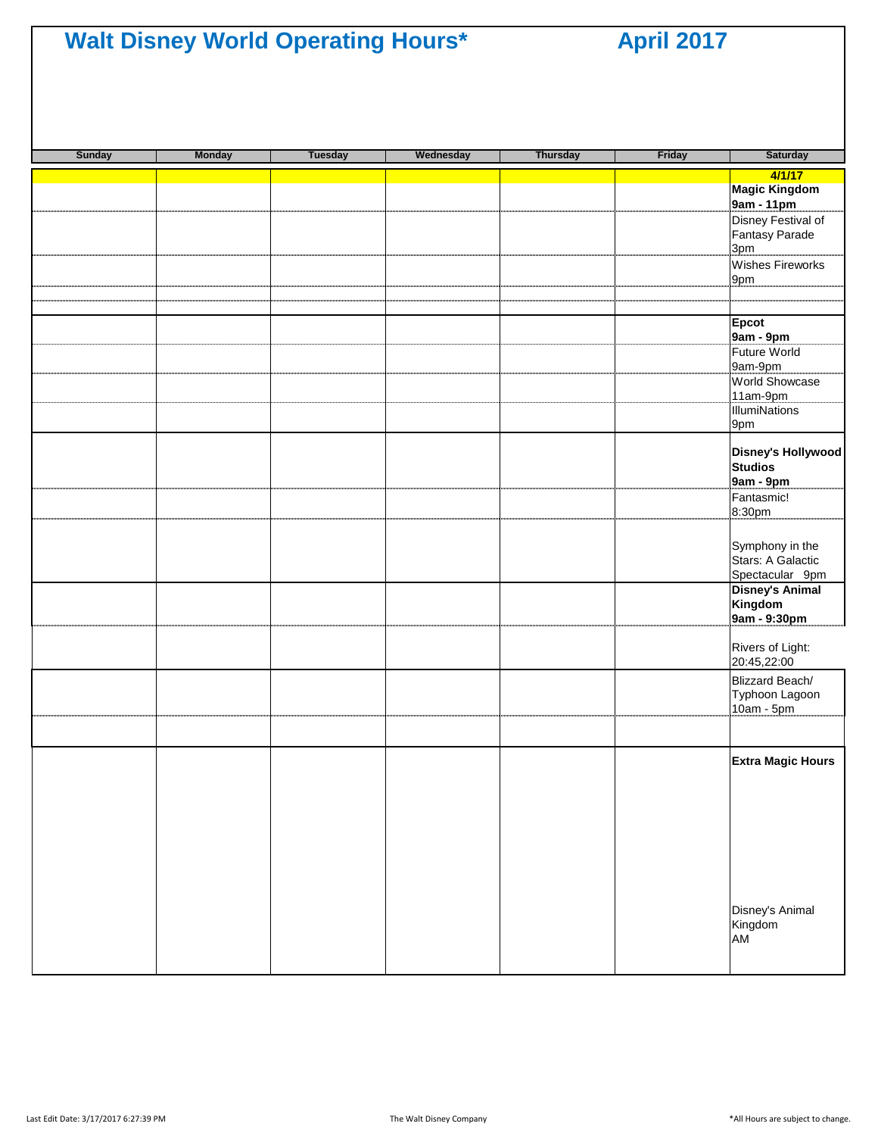| <b>Sunday</b> | <b>Monday</b> | <b>Tuesday</b> | Wednesday | <b>Thursday</b> | Friday | Saturday                             |
|---------------|---------------|----------------|-----------|-----------------|--------|--------------------------------------|
|               |               |                |           |                 |        | 4/1/17                               |
|               |               |                |           |                 |        | Magic Kingdom<br>9am - 11pm          |
|               |               |                |           |                 |        | Disney Festival of                   |
|               |               |                |           |                 |        | Fantasy Parade                       |
|               |               |                |           |                 |        | 3pm<br><b>Wishes Fireworks</b>       |
|               |               |                |           |                 |        | 9pm                                  |
|               |               |                |           |                 |        |                                      |
|               |               |                |           |                 |        |                                      |
|               |               |                |           |                 |        | <b>Epcot</b><br>9am - 9pm            |
|               |               |                |           |                 |        | Future World                         |
|               |               |                |           |                 |        | 9am-9pm                              |
|               |               |                |           |                 |        | World Showcase                       |
|               |               |                |           |                 |        | 11am-9pm<br><b>IllumiNations</b>     |
|               |               |                |           |                 |        | 9pm                                  |
|               |               |                |           |                 |        |                                      |
|               |               |                |           |                 |        | Disney's Hollywood<br><b>Studios</b> |
|               |               |                |           |                 |        | 9am - 9pm                            |
|               |               |                |           |                 |        | Fantasmic!                           |
|               |               |                |           |                 |        | 8:30pm                               |
|               |               |                |           |                 |        |                                      |
|               |               |                |           |                 |        | Symphony in the<br>Stars: A Galactic |
|               |               |                |           |                 |        | Spectacular 9pm                      |
|               |               |                |           |                 |        | <b>Disney's Animal</b>               |
|               |               |                |           |                 |        | Kingdom                              |
|               |               |                |           |                 |        | 9am - 9:30pm                         |
|               |               |                |           |                 |        | Rivers of Light:                     |
|               |               |                |           |                 |        | 20:45,22:00                          |
|               |               |                |           |                 |        | Blizzard Beach/                      |
|               |               |                |           |                 |        | Typhoon Lagoon<br>$10am - 5pm$       |
|               |               |                |           |                 |        |                                      |
|               |               |                |           |                 |        |                                      |
|               |               |                |           |                 |        | <b>Extra Magic Hours</b>             |
|               |               |                |           |                 |        |                                      |
|               |               |                |           |                 |        |                                      |
|               |               |                |           |                 |        |                                      |
|               |               |                |           |                 |        |                                      |
|               |               |                |           |                 |        |                                      |
|               |               |                |           |                 |        |                                      |
|               |               |                |           |                 |        |                                      |
|               |               |                |           |                 |        | Disney's Animal                      |
|               |               |                |           |                 |        | Kingdom                              |
|               |               |                |           |                 |        | <b>AM</b>                            |
|               |               |                |           |                 |        |                                      |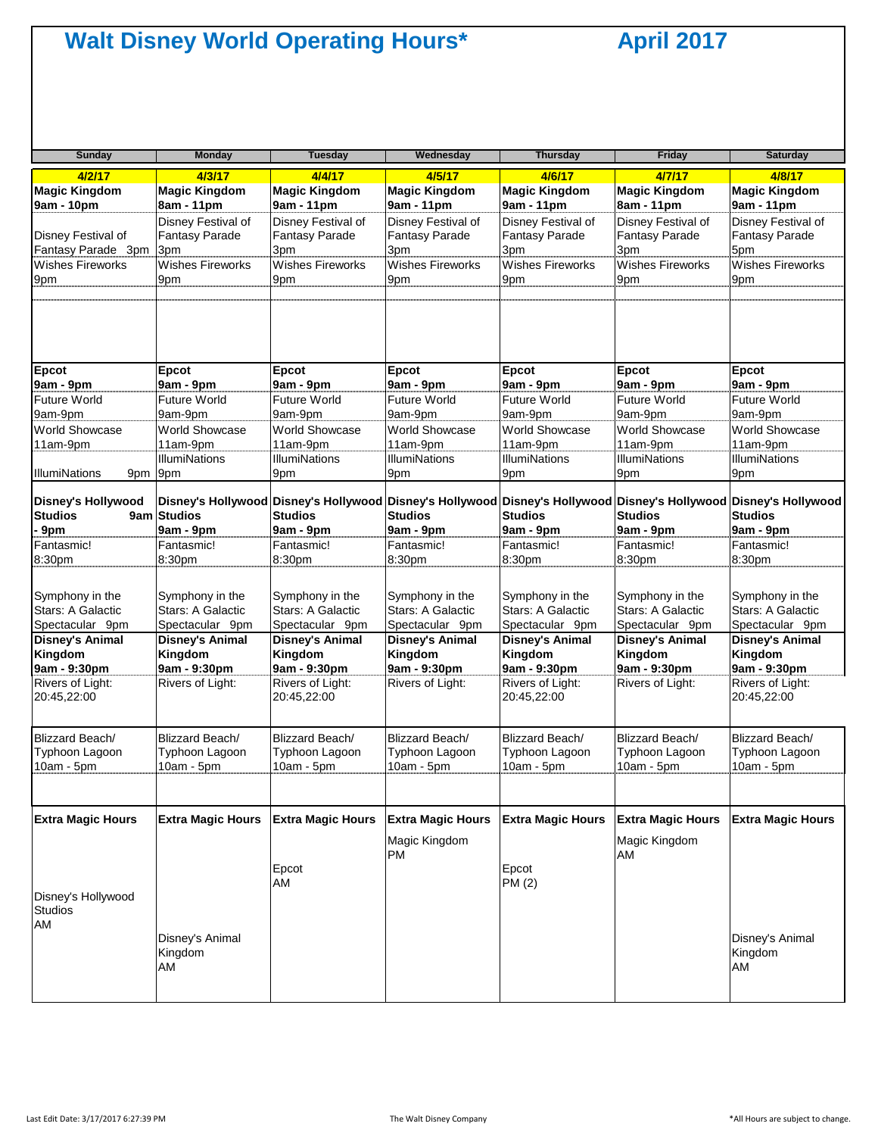| <b>Sunday</b>                                           | Monday                                                  | Tuesday                                                 | Wednesday                                               | <b>Thursday</b>                                                                               | <b>Friday</b>                                           | <b>Saturday</b>                                         |
|---------------------------------------------------------|---------------------------------------------------------|---------------------------------------------------------|---------------------------------------------------------|-----------------------------------------------------------------------------------------------|---------------------------------------------------------|---------------------------------------------------------|
| 4/2/17                                                  | 4/3/17                                                  | 4/4/17                                                  | 4/5/17                                                  | 4/6/17                                                                                        | 4/7/17                                                  | 4/8/17                                                  |
| <b>Magic Kingdom</b><br>9am - 10pm                      | <b>Magic Kingdom</b><br>8am - 11pm                      | <b>Magic Kingdom</b><br>9am - 11pm                      | <b>Magic Kingdom</b><br>9am - 11pm                      | <b>Magic Kingdom</b><br>9am - 11pm                                                            | <b>Magic Kingdom</b><br>8am - 11pm                      | <b>Magic Kingdom</b><br>9am - 11pm                      |
|                                                         | Disney Festival of                                      | Disney Festival of                                      | Disney Festival of                                      | Disney Festival of                                                                            | Disney Festival of                                      | Disney Festival of                                      |
| Disney Festival of<br>Fantasy Parade 3pm                | <b>Fantasy Parade</b><br>3pm                            | <b>Fantasy Parade</b>                                   | <b>Fantasy Parade</b>                                   | <b>Fantasy Parade</b>                                                                         | <b>Fantasy Parade</b>                                   | <b>Fantasy Parade</b><br>5pm                            |
| <b>Wishes Fireworks</b>                                 | <b>Wishes Fireworks</b>                                 | 3pm<br><b>Wishes Fireworks</b>                          | 3pm<br><b>Wishes Fireworks</b>                          | 3pm<br><b>Wishes Fireworks</b>                                                                | 3pm<br>Wishes Fireworks                                 | Wishes Fireworks                                        |
| 9pm                                                     | 9pm                                                     | 9pm                                                     | 9pm                                                     | 9pm                                                                                           | 9pm                                                     | 9pm                                                     |
|                                                         |                                                         |                                                         |                                                         |                                                                                               |                                                         |                                                         |
| Epcot                                                   | Epcot                                                   | Epcot                                                   | Epcot                                                   | Epcot                                                                                         | Epcot                                                   | Epcot                                                   |
| 9am - 9pm                                               | 9am - 9pm                                               | 9am - 9pm                                               | 9am - 9pm                                               | 9am - 9pm                                                                                     | 9am - 9pm                                               | 9am - 9pm                                               |
| <b>Future World</b>                                     | <b>Future World</b>                                     | <b>Future World</b>                                     | <b>Future World</b>                                     | <b>Future World</b>                                                                           | <b>Future World</b>                                     | <b>Future World</b>                                     |
| 9am-9pm                                                 | 9am-9pm                                                 | 9am-9pm                                                 | 9am-9pm                                                 | 9am-9pm                                                                                       | 9am-9pm                                                 | 9am-9pm                                                 |
| <b>World Showcase</b>                                   | <b>World Showcase</b>                                   | <b>World Showcase</b>                                   | World Showcase                                          | <b>World Showcase</b>                                                                         | <b>World Showcase</b>                                   | <b>World Showcase</b>                                   |
| 11am-9pm                                                | 11am-9pm                                                | 11am-9pm                                                | 11am-9pm                                                | 11am-9pm                                                                                      | 11am-9pm                                                | 11am-9pm                                                |
| <b>IllumiNations</b>                                    | <b>IllumiNations</b>                                    | <b>IllumiNations</b>                                    | <b>IllumiNations</b>                                    | <b>IllumiNations</b>                                                                          | <b>IllumiNations</b>                                    | <b>IllumiNations</b>                                    |
| 9pm 9pm                                                 |                                                         | 9pm                                                     | 9pm                                                     | 9pm                                                                                           | 9pm                                                     | 9pm                                                     |
| <b>Disney's Hollywood</b><br><b>Studios</b>             | 9am Studios                                             | Disney's Hollywood Disney's Hollywood<br><b>Studios</b> | <b>Studios</b>                                          | Disney's Hollywood Disney's Hollywood Disney's Hollywood Disney's Hollywood<br><b>Studios</b> | <b>Studios</b>                                          | <b>Studios</b>                                          |
| 9pm                                                     | 9am - 9pm                                               | 9am - 9pm                                               | 9am - 9pm                                               | 9am - 9pm                                                                                     | 9am - 9pm                                               | $9am - 9pm$                                             |
| Fantasmic!                                              | Fantasmic!                                              | Fantasmic!                                              | Fantasmic!                                              | Fantasmic!                                                                                    | Fantasmic!                                              | Fantasmic!                                              |
| 8:30pm                                                  | 8:30pm                                                  | 8:30pm                                                  | 8:30pm                                                  | 8:30pm                                                                                        | 8:30pm                                                  | 8:30pm                                                  |
| Symphony in the<br>Stars: A Galactic<br>Spectacular 9pm | Symphony in the<br>Stars: A Galactic<br>Spectacular 9pm | Symphony in the<br>Stars: A Galactic<br>Spectacular 9pm | Symphony in the<br>Stars: A Galactic<br>Spectacular 9pm | Symphony in the<br>Stars: A Galactic<br>Spectacular 9pm                                       | Symphony in the<br>Stars: A Galactic<br>Spectacular 9pm | Symphony in the<br>Stars: A Galactic<br>Spectacular 9pm |
| <b>Disney's Animal</b>                                  | <b>Disney's Animal</b>                                  | <b>Disney's Animal</b>                                  | <b>Disney's Animal</b>                                  | <b>Disney's Animal</b>                                                                        | <b>Disney's Animal</b>                                  | <b>Disney's Animal</b>                                  |
| Kingdom                                                 | Kingdom                                                 | Kingdom                                                 | Kingdom                                                 | Kingdom                                                                                       | Kingdom                                                 | Kingdom                                                 |
| 9am - 9:30pm                                            | 9am - 9:30pm                                            | 9am - 9:30pm                                            | 9am - 9:30pm                                            | 9am - 9:30pm                                                                                  | 9am - 9:30pm                                            | 9am - 9:30pm                                            |
| Rivers of Light:<br>20:45,22:00                         | Rivers of Light:                                        | Rivers of Light:<br>20:45,22:00                         | Rivers of Light:                                        | Rivers of Light:<br>20:45,22:00                                                               | Rivers of Light:                                        | Rivers of Light:<br>20:45,22:00                         |
| <b>Blizzard Beach/</b>                                  | <b>Blizzard Beach/</b>                                  | Blizzard Beach/                                         | Blizzard Beach/                                         | Blizzard Beach/                                                                               | Blizzard Beach/                                         | <b>Blizzard Beach/</b>                                  |
| Typhoon Lagoon                                          | Typhoon Lagoon                                          | Typhoon Lagoon                                          | Typhoon Lagoon                                          | Typhoon Lagoon                                                                                | Typhoon Lagoon                                          | Typhoon Lagoon                                          |
| $10am - 5pm$                                            | 10am - 5pm                                              | $10am - 5pm$                                            | 10am - 5pm                                              | 10am - 5pm                                                                                    | 10am - 5pm                                              | 10am - 5pm                                              |
| <b>Extra Magic Hours</b>                                | <b>Extra Magic Hours</b>                                | <b>Extra Magic Hours</b>                                | <b>Extra Magic Hours</b><br>Magic Kingdom               | <b>Extra Magic Hours</b>                                                                      | <b>Extra Magic Hours</b><br>Magic Kingdom               | <b>Extra Magic Hours</b>                                |
|                                                         |                                                         | Epcot<br>AM                                             | <b>PM</b>                                               | Epcot<br>PM (2)                                                                               | AM                                                      |                                                         |
| Disney's Hollywood<br><b>Studios</b><br>AM              |                                                         |                                                         |                                                         |                                                                                               |                                                         |                                                         |
|                                                         | Disney's Animal<br>Kingdom<br>AM                        |                                                         |                                                         |                                                                                               |                                                         | Disney's Animal<br>Kingdom<br>AM                        |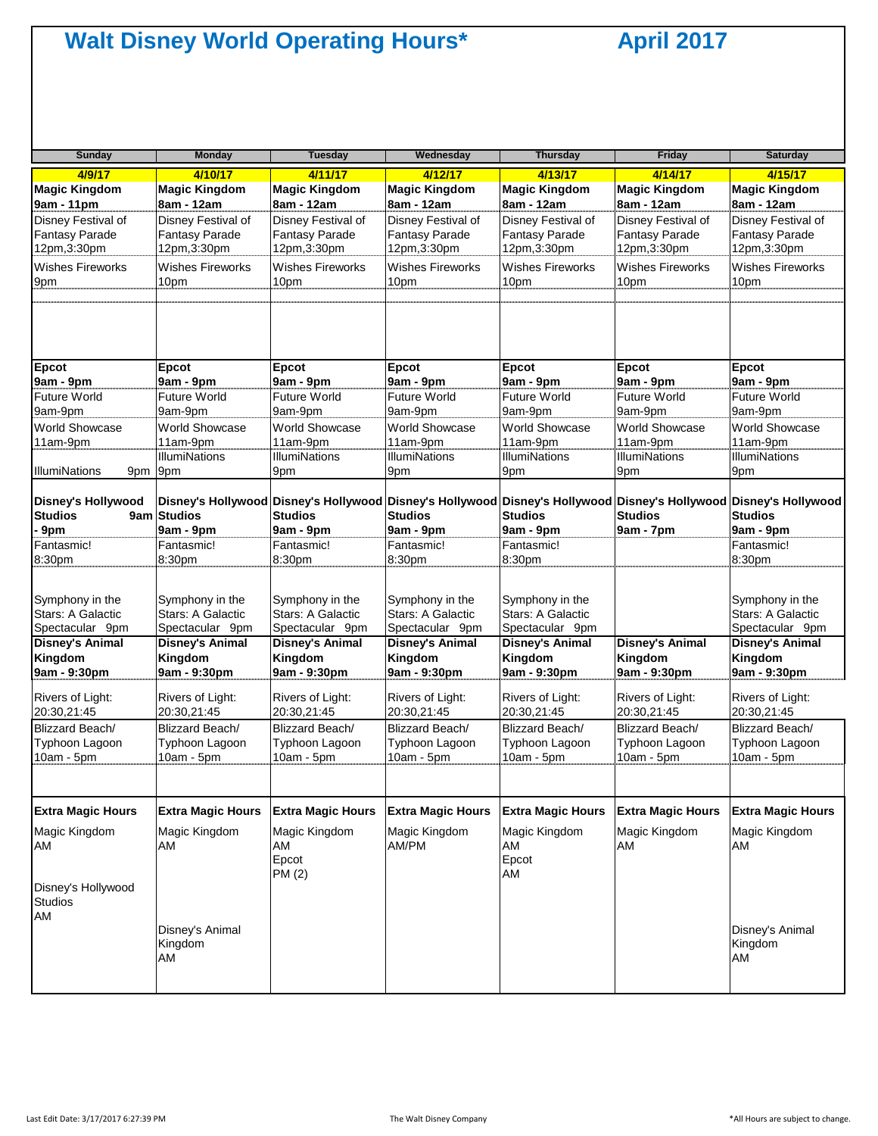| <b>Sunday</b>                                              | <b>Monday</b>                                              | <b>Tuesday</b>                                             | Wednesday                                                  | <b>Thursday</b>                                                                                                                     | Friday                                                     | <b>Saturday</b>                                            |
|------------------------------------------------------------|------------------------------------------------------------|------------------------------------------------------------|------------------------------------------------------------|-------------------------------------------------------------------------------------------------------------------------------------|------------------------------------------------------------|------------------------------------------------------------|
| 4/9/17                                                     | 4/10/17                                                    | 4/11/17                                                    | 4/12/17                                                    | 4/13/17                                                                                                                             | 4/14/17                                                    | 4/15/17                                                    |
| <b>Magic Kingdom</b><br>9am - 11pm                         | <b>Magic Kingdom</b><br>8am - 12am                         | <b>Magic Kingdom</b><br>8am - 12am                         | <b>Magic Kingdom</b><br>8am - 12am                         | <b>Magic Kingdom</b><br>8am - 12am                                                                                                  | <b>Magic Kingdom</b><br>8am - 12am                         | <b>Magic Kingdom</b><br>8am - 12am                         |
| Disney Festival of<br><b>Fantasy Parade</b><br>12pm,3:30pm | Disney Festival of<br><b>Fantasy Parade</b><br>12pm,3:30pm | Disney Festival of<br><b>Fantasy Parade</b><br>12pm,3:30pm | Disney Festival of<br><b>Fantasy Parade</b><br>12pm,3:30pm | Disney Festival of<br><b>Fantasy Parade</b><br>12pm,3:30pm                                                                          | Disney Festival of<br><b>Fantasy Parade</b><br>12pm,3:30pm | Disney Festival of<br><b>Fantasy Parade</b><br>12pm,3:30pm |
| <b>Wishes Fireworks</b><br>9pm                             | <b>Wishes Fireworks</b><br>10pm                            | <b>Wishes Fireworks</b><br>10pm                            | <b>Wishes Fireworks</b><br>10pm                            | <b>Wishes Fireworks</b><br>10pm                                                                                                     | <b>Wishes Fireworks</b><br>10pm                            | <b>Wishes Fireworks</b><br>10pm                            |
| <b>Epcot</b>                                               | Epcot                                                      | Epcot                                                      | Epcot                                                      | Epcot                                                                                                                               | Epcot                                                      | Epcot                                                      |
| 9am - 9pm                                                  | 9am - 9pm                                                  | 9am - 9pm                                                  | 9am - 9pm                                                  | 9am - 9pm                                                                                                                           | 9am - 9pm                                                  | 9am - 9pm                                                  |
| <b>Future World</b><br>9am-9pm                             | <b>Future World</b><br>9am-9pm                             | <b>Future World</b><br>9am-9pm                             | <b>Future World</b><br>9am-9pm                             | <b>Future World</b><br>9am-9pm                                                                                                      | <b>Future World</b><br>9am-9pm                             | <b>Future World</b><br>9am-9pm                             |
| <b>World Showcase</b>                                      | <b>World Showcase</b>                                      | <b>World Showcase</b>                                      | World Showcase                                             | <b>World Showcase</b>                                                                                                               | World Showcase                                             | <b>World Showcase</b>                                      |
| 11am-9pm                                                   | 11am-9pm                                                   | 11am-9pm                                                   | 11am-9pm                                                   | 11am-9pm                                                                                                                            | 11am-9pm                                                   | 11am-9pm                                                   |
| <b>IllumiNations</b><br>9pm                                | <b>IllumiNations</b><br>9pm                                | <b>IllumiNations</b><br>9pm                                | <b>IllumiNations</b><br>9pm                                | <b>IllumiNations</b><br>9pm                                                                                                         | <b>IllumiNations</b><br>9pm                                | <b>IllumiNations</b><br>9pm                                |
| <b>Disney's Hollywood</b><br><b>Studios</b><br>9am         | <b>Studios</b>                                             | <b>Studios</b>                                             | Studios                                                    | Disney's Hollywood Disney's Hollywood Disney's Hollywood Disney's Hollywood Disney's Hollywood Disney's Hollywood<br><b>Studios</b> | <b>Studios</b>                                             | <b>Studios</b>                                             |
| 9 <sub>pm</sub>                                            | 9am - 9pm                                                  | 9am - 9pm                                                  | 9am - 9pm                                                  | 9am - 9pm                                                                                                                           | 9am - 7pm                                                  | 9am - 9pm                                                  |
| Fantasmic!<br>8:30pm                                       | Fantasmic!<br>8:30pm                                       | Fantasmic!<br>8:30pm                                       | Fantasmic!<br>8:30pm                                       | Fantasmic!<br>8:30pm                                                                                                                |                                                            | Fantasmic!<br>8:30pm                                       |
| Symphony in the<br>Stars: A Galactic<br>Spectacular 9pm    | Symphony in the<br>Stars: A Galactic<br>Spectacular 9pm    | Symphony in the<br>Stars: A Galactic<br>Spectacular 9pm    | Symphony in the<br>Stars: A Galactic<br>Spectacular 9pm    | Symphony in the<br>Stars: A Galactic<br>Spectacular 9pm                                                                             |                                                            | Symphony in the<br>Stars: A Galactic<br>Spectacular 9pm    |
| <b>Disney's Animal</b><br>Kingdom<br>9am - 9:30pm          | <b>Disney's Animal</b><br>Kingdom<br>9am - 9:30pm          | <b>Disney's Animal</b><br>Kingdom<br>9am - 9:30pm          | <b>Disney's Animal</b><br>Kingdom<br>9am - 9:30pm          | <b>Disney's Animal</b><br>Kingdom<br>9am - 9:30pm                                                                                   | <b>Disney's Animal</b><br>Kingdom<br>9am - 9:30pm          | <b>Disney's Animal</b><br>Kingdom<br>9am - 9:30pm          |
| Rivers of Light:<br>20:30,21:45                            | Rivers of Light:<br>20:30.21:45                            | Rivers of Light:<br>20:30,21:45                            | Rivers of Light:<br>20:30,21:45                            | Rivers of Light:<br>20:30,21:45                                                                                                     | Rivers of Light:<br>20:30.21:45                            | Rivers of Light:<br>20:30.21:45                            |
| Blizzard Beach/<br>Typhoon Lagoon<br>$10am - 5pm$          | Blizzard Beach/<br>Typhoon Lagoon<br>$10am - 5pm$          | Blizzard Beach/<br>Typhoon Lagoon<br>$10am - 5pm$          | Blizzard Beach/<br>Typhoon Lagoon<br>$10am - 5pm$          | Blizzard Beach/<br>Typhoon Lagoon<br>$10am - 5pm$                                                                                   | Blizzard Beach/<br>Typhoon Lagoon<br>$10am - 5pm$          | Blizzard Beach/<br>Typhoon Lagoon<br>$10am - 5pm$          |
| <b>Extra Magic Hours</b>                                   | <b>Extra Magic Hours</b>                                   | <b>Extra Magic Hours</b>                                   | <b>Extra Magic Hours</b>                                   | <b>Extra Magic Hours</b>                                                                                                            | <b>Extra Magic Hours</b>                                   | <b>Extra Magic Hours</b>                                   |
| Magic Kingdom<br>ΑM                                        | Magic Kingdom<br>AM                                        | Magic Kingdom<br>AM<br>Epcot<br>PM (2)                     | Magic Kingdom<br>AM/PM                                     | Magic Kingdom<br>AM<br>Epcot<br>AM                                                                                                  | Magic Kingdom<br>AM                                        | Magic Kingdom<br>AM                                        |
| Disney's Hollywood<br><b>Studios</b><br>AM                 | Disney's Animal                                            |                                                            |                                                            |                                                                                                                                     |                                                            | Disney's Animal                                            |
|                                                            | Kingdom<br>AM                                              |                                                            |                                                            |                                                                                                                                     |                                                            | Kingdom<br>AM                                              |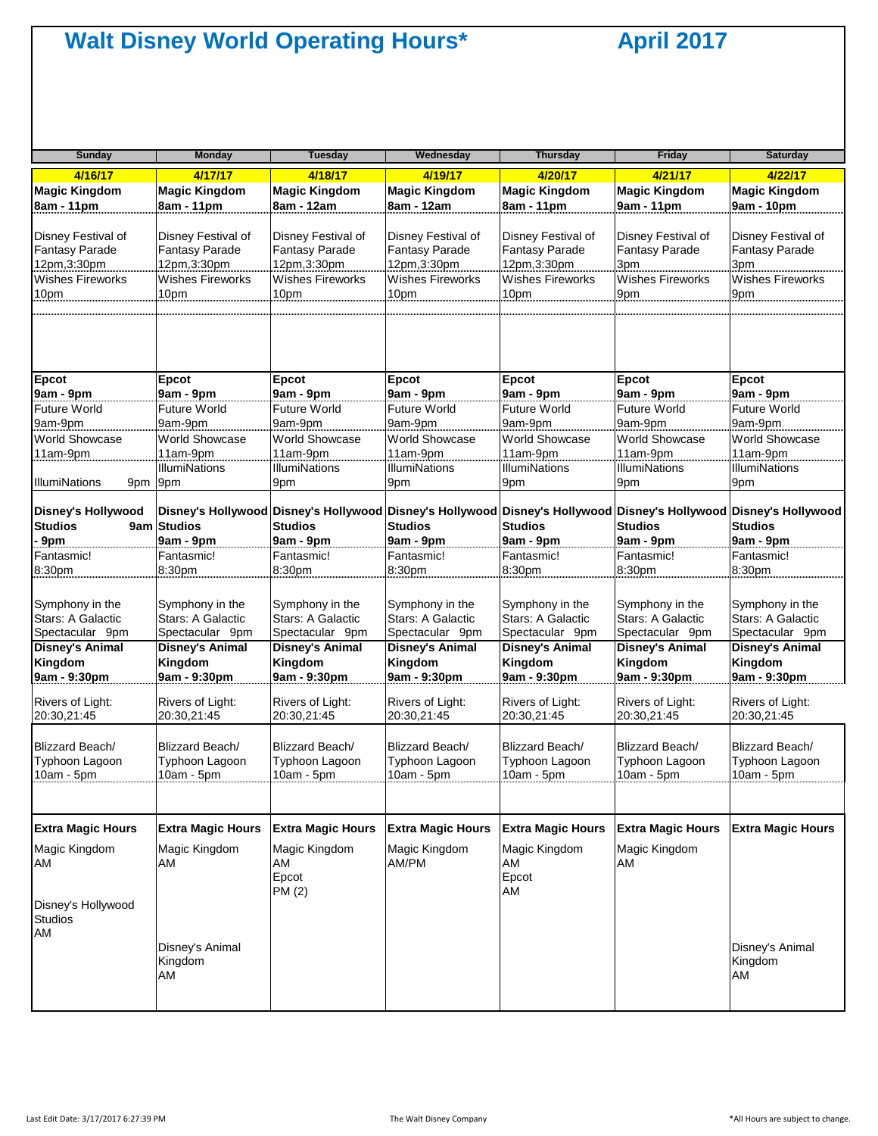| <b>Sunday</b>                                       | <b>Monday</b>                                              | <b>Tuesday</b>                                             | Wednesday                                                  | <b>Thursday</b>                                                                                                                     | Friday                                          | <b>Saturday</b>                                   |
|-----------------------------------------------------|------------------------------------------------------------|------------------------------------------------------------|------------------------------------------------------------|-------------------------------------------------------------------------------------------------------------------------------------|-------------------------------------------------|---------------------------------------------------|
| 4/16/17                                             | 4/17/17                                                    | 4/18/17                                                    | 4/19/17                                                    | 4/20/17                                                                                                                             | 4/21/17                                         | 4/22/17                                           |
| <b>Magic Kingdom</b><br>8am - 11pm                  | <b>Magic Kingdom</b><br>8am - 11pm                         | <b>Magic Kingdom</b><br>8am - 12am                         | <b>Magic Kingdom</b><br>8am - 12am                         | <b>Magic Kingdom</b><br>8am - 11pm                                                                                                  | <b>Magic Kingdom</b><br>9am - 11pm              | <b>Magic Kingdom</b><br>9am - 10pm                |
| Disney Festival of<br>Fantasy Parade<br>12pm,3:30pm | Disney Festival of<br><b>Fantasy Parade</b><br>12pm,3:30pm | Disney Festival of<br><b>Fantasy Parade</b><br>12pm,3:30pm | Disney Festival of<br><b>Fantasy Parade</b><br>12pm,3:30pm | Disney Festival of<br><b>Fantasy Parade</b><br>12pm,3:30pm                                                                          | Disney Festival of<br>Fantasy Parade<br>3pm     | Disney Festival of<br>Fantasy Parade<br>3pm       |
| <b>Wishes Fireworks</b><br>10pm                     | <b>Wishes Fireworks</b><br>10pm                            | <b>Wishes Fireworks</b><br>10pm                            | <b>Wishes Fireworks</b><br>10pm                            | <b>Wishes Fireworks</b><br>10pm                                                                                                     | <b>Wishes Fireworks</b><br>9pm                  | <b>Wishes Fireworks</b><br>9pm                    |
|                                                     |                                                            |                                                            |                                                            |                                                                                                                                     |                                                 |                                                   |
| <b>Epcot</b>                                        | Epcot                                                      | <b>Epcot</b>                                               | Epcot                                                      | <b>Epcot</b>                                                                                                                        | <b>Epcot</b>                                    | Epcot                                             |
| 9am - 9pm                                           | 9am - 9pm                                                  | 9am - 9pm                                                  | 9am - 9pm                                                  | 9am - 9pm                                                                                                                           | 9am - 9pm                                       | 9am - 9pm                                         |
| <b>Future World</b><br>9am-9pm                      | <b>Future World</b><br>9am-9pm                             | <b>Future World</b><br>9am-9pm                             | <b>Future World</b><br>9am-9pm                             | <b>Future World</b><br>9am-9pm                                                                                                      | Future World<br>9am-9pm                         | Future World<br>9am-9pm                           |
| <b>World Showcase</b>                               | World Showcase                                             | <b>World Showcase</b>                                      | <b>World Showcase</b>                                      | <b>World Showcase</b>                                                                                                               | World Showcase                                  | <b>World Showcase</b>                             |
| 11am-9pm                                            | 11am-9pm                                                   | 11am-9pm                                                   | 11am-9pm                                                   | 11am-9pm                                                                                                                            | 11am-9pm                                        | 11am-9pm                                          |
|                                                     | <b>IllumiNations</b>                                       | <b>IllumiNations</b>                                       | <b>IllumiNations</b>                                       | <b>IllumiNations</b>                                                                                                                | <b>IllumiNations</b>                            | <b>IllumiNations</b>                              |
| <b>IllumiNations</b><br>9pm                         | 9pm                                                        | 9pm                                                        | 9pm                                                        | 9pm                                                                                                                                 | 9pm                                             | 9pm                                               |
| <b>Disney's Hollywood</b><br><b>Studios</b>         | 9am Studios                                                | <b>Studios</b>                                             | <b>Studios</b>                                             | Disney's Hollywood Disney's Hollywood Disney's Hollywood Disney's Hollywood Disney's Hollywood Disney's Hollywood<br><b>Studios</b> | <b>Studios</b>                                  | <b>Studios</b>                                    |
| 9pm                                                 | 9am - 9pm                                                  | 9am - 9pm                                                  | 9am - 9pm                                                  | 9am - 9pm                                                                                                                           | 9am - 9pm                                       | 9am - 9pm                                         |
| Fantasmic!                                          | Fantasmic!                                                 | Fantasmic!                                                 | Fantasmic!                                                 | Fantasmic!                                                                                                                          | Fantasmic!                                      | Fantasmic!                                        |
| 8:30pm                                              | 8:30pm                                                     | 8:30pm                                                     | 8:30pm                                                     | 8:30pm                                                                                                                              | 8:30pm                                          | 8:30pm                                            |
| Symphony in the<br>Stars: A Galactic                | Symphony in the<br>Stars: A Galactic                       | Symphony in the<br>Stars: A Galactic                       | Symphony in the<br>Stars: A Galactic                       | Symphony in the<br>Stars: A Galactic                                                                                                | Symphony in the<br>Stars: A Galactic            | Symphony in the<br>Stars: A Galactic              |
| Spectacular 9pm                                     | Spectacular 9pm                                            | Spectacular 9pm                                            | Spectacular 9pm                                            | Spectacular 9pm                                                                                                                     | Spectacular 9pm                                 | Spectacular 9pm                                   |
| <b>Disney's Animal</b><br>Kingdom                   | <b>Disney's Animal</b><br>Kingdom                          | <b>Disney's Animal</b><br>Kingdom                          | Disney's Animal<br>Kingdom                                 | <b>Disney's Animal</b><br>Kingdom                                                                                                   | <b>Disney's Animal</b><br>Kingdom               | <b>Disney's Animal</b><br>Kingdom                 |
| 9am - 9:30pm                                        | 9am - 9:30pm                                               | 9am - 9:30pm                                               | 9am - 9:30pm                                               | 9am - 9:30pm                                                                                                                        | 9am - 9:30pm                                    | 9am - 9:30pm                                      |
| Rivers of Light:<br>20:30,21:45                     | Rivers of Light:<br>20:30,21:45                            | Rivers of Light:<br>20:30,21:45                            | Rivers of Light:<br>20:30,21:45                            | Rivers of Light:<br>20:30,21:45                                                                                                     | Rivers of Light:<br>20:30,21:45                 | Rivers of Light:<br>20:30,21:45                   |
| Blizzard Beach/<br>Typhoon Lagoon<br>10am - 5pm     | Blizzard Beach/<br>Typhoon Lagoon<br>$10am - 5pm$          | Blizzard Beach/<br>Typhoon Lagoon<br>$10am - 5pm$          | Blizzard Beach/<br>Typhoon Lagoon<br>$10am - 5pm$          | Blizzard Beach/<br>Typhoon Lagoon<br>10am - 5pm                                                                                     | Blizzard Beach/<br>Typhoon Lagoon<br>10am - 5pm | Blizzard Beach/<br>Typhoon Lagoon<br>$10am - 5pm$ |
| <b>Extra Magic Hours</b>                            | <b>Extra Magic Hours</b>                                   | <b>Extra Magic Hours</b>                                   | <b>Extra Magic Hours</b>                                   | <b>Extra Magic Hours</b>                                                                                                            | <b>Extra Magic Hours</b>                        | <b>Extra Magic Hours</b>                          |
| Magic Kingdom<br>AM                                 | Magic Kingdom<br>AM                                        | Magic Kingdom<br>AM<br>Epcot<br>PM (2)                     | Magic Kingdom<br>AM/PM                                     | Magic Kingdom<br>AM<br>Epcot<br>AM                                                                                                  | Magic Kingdom<br>AM                             |                                                   |
| Disney's Hollywood<br><b>Studios</b><br>AM          | Disney's Animal                                            |                                                            |                                                            |                                                                                                                                     |                                                 | Disney's Animal                                   |
|                                                     | Kingdom<br>AM                                              |                                                            |                                                            |                                                                                                                                     |                                                 | Kingdom<br>AM                                     |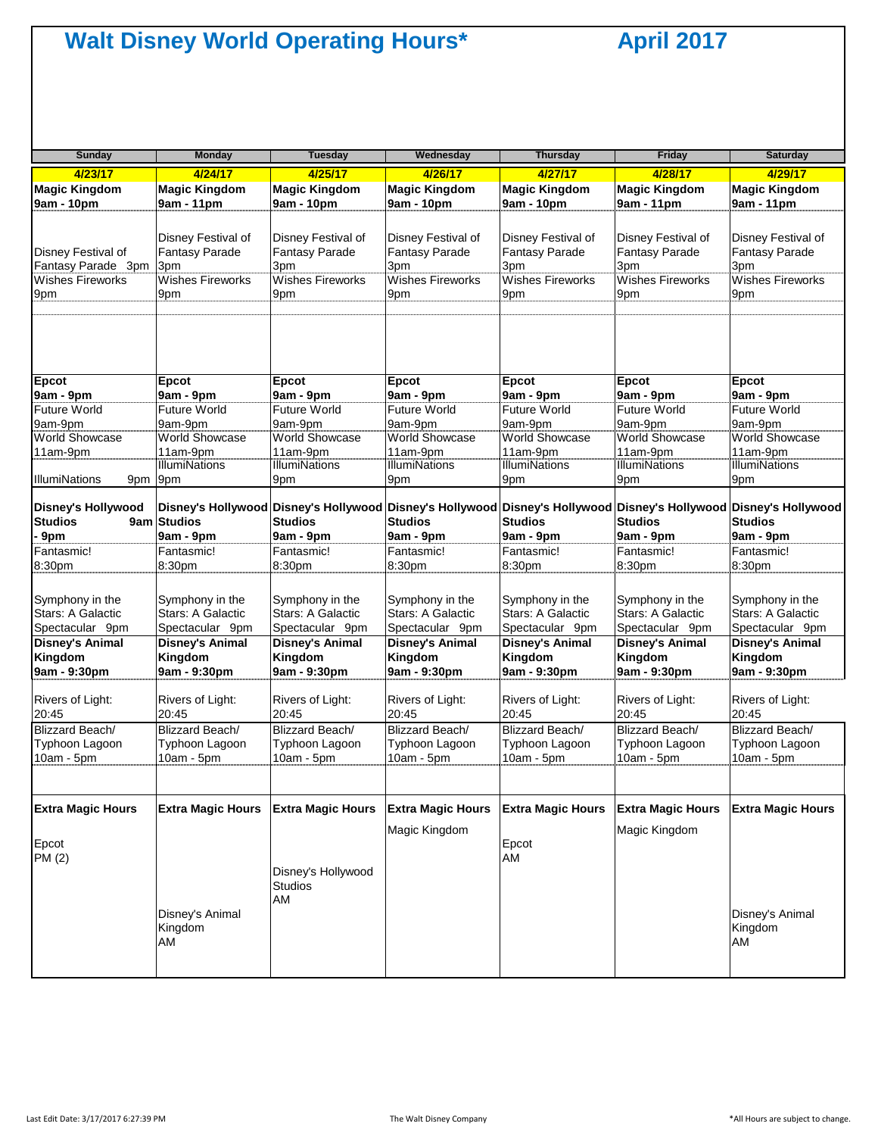| Sunday                                                                     | <b>Monday</b>                                                                 | <b>Tuesday</b>                                                                       | Wednesday                                                                     | <b>Thursday</b>                                                                                                                     | <b>Friday</b>                                                                        | <b>Saturday</b>                                                               |
|----------------------------------------------------------------------------|-------------------------------------------------------------------------------|--------------------------------------------------------------------------------------|-------------------------------------------------------------------------------|-------------------------------------------------------------------------------------------------------------------------------------|--------------------------------------------------------------------------------------|-------------------------------------------------------------------------------|
| 4/23/17                                                                    | 4/24/17                                                                       | 4/25/17                                                                              | 4/26/17                                                                       | 4/27/17                                                                                                                             | 4/28/17                                                                              | 4/29/17                                                                       |
| <b>Magic Kingdom</b>                                                       | <b>Magic Kingdom</b>                                                          | <b>Magic Kingdom</b>                                                                 | <b>Magic Kingdom</b>                                                          | <b>Magic Kingdom</b>                                                                                                                | <b>Magic Kingdom</b>                                                                 | <b>Magic Kingdom</b>                                                          |
| 9am - 10pm                                                                 | 9am - 11pm                                                                    | 9am - 10pm                                                                           | 9am - 10pm                                                                    | 9am - 10pm                                                                                                                          | 9am - 11pm                                                                           | 9am - 11pm                                                                    |
| Disney Festival of<br>Fantasy Parade 3pm<br><b>Wishes Fireworks</b><br>9pm | Disney Festival of<br>Fantasy Parade<br>3pm<br><b>Wishes Fireworks</b><br>9pm | Disney Festival of<br><b>Fantasy Parade</b><br>3pm<br><b>Wishes Fireworks</b><br>9pm | Disney Festival of<br>Fantasy Parade<br>3pm<br><b>Wishes Fireworks</b><br>9pm | Disney Festival of<br><b>Fantasy Parade</b><br>3pm<br><b>Wishes Fireworks</b><br>9pm                                                | Disney Festival of<br><b>Fantasy Parade</b><br>3pm<br><b>Wishes Fireworks</b><br>9pm | Disney Festival of<br>Fantasy Parade<br>3pm<br><b>Wishes Fireworks</b><br>9pm |
| Epcot                                                                      | Epcot                                                                         | Epcot                                                                                | Epcot                                                                         | <b>Epcot</b>                                                                                                                        | <b>Epcot</b>                                                                         | Epcot                                                                         |
| 9am - 9pm                                                                  | 9am - 9pm                                                                     | 9am - 9pm                                                                            | 9am - 9pm                                                                     | 9am - 9pm                                                                                                                           | 9am - 9pm                                                                            | 9am - 9pm                                                                     |
| <b>Future World</b>                                                        | Future World                                                                  | <b>Future World</b>                                                                  | Future World                                                                  | Future World                                                                                                                        | Future World                                                                         | Future World                                                                  |
| 9am-9pm                                                                    | 9am-9pm                                                                       | 9am-9pm                                                                              | 9am-9pm                                                                       | 9am-9pm                                                                                                                             | 9am-9pm                                                                              | 9am-9pm                                                                       |
| <b>World Showcase</b><br>11am-9pm<br><b>IllumiNations</b><br>9pm 9pm       | <b>World Showcase</b><br>11am-9pm<br><b>IllumiNations</b>                     | <b>World Showcase</b><br>11am-9pm<br><b>IllumiNations</b><br>9pm                     | World Showcase<br>11am-9pm<br><b>IllumiNations</b><br>9pm                     | <b>World Showcase</b><br>11am-9pm<br><b>IllumiNations</b><br>9pm                                                                    | <b>World Showcase</b><br>11am-9pm<br><b>IllumiNations</b><br>9pm                     | <b>World Showcase</b><br>11am-9pm<br><b>IllumiNations</b><br>9pm              |
| <b>Disney's Hollywood</b><br><b>Studios</b><br>9am                         | <b>Studios</b>                                                                | <b>Studios</b>                                                                       | <b>Studios</b>                                                                | Disney's Hollywood Disney's Hollywood Disney's Hollywood Disney's Hollywood Disney's Hollywood Disney's Hollywood<br><b>Studios</b> | <b>Studios</b>                                                                       | <b>Studios</b>                                                                |
| 9pm                                                                        | 9am - 9pm                                                                     | 9am - 9pm                                                                            | 9am - 9pm                                                                     | 9am - 9pm                                                                                                                           | 9am - 9pm                                                                            | 9am - 9pm                                                                     |
| Fantasmic!                                                                 | Fantasmic!                                                                    | Fantasmic!                                                                           | Fantasmic!                                                                    | Fantasmic!                                                                                                                          | Fantasmic!                                                                           | Fantasmic!                                                                    |
| 8:30pm                                                                     | 8:30pm                                                                        | 8:30pm                                                                               | 8:30pm                                                                        | 8:30pm                                                                                                                              | 8:30pm                                                                               | 8:30pm                                                                        |
| Symphony in the                                                            | Symphony in the                                                               | Symphony in the                                                                      | Symphony in the                                                               | Symphony in the                                                                                                                     | Symphony in the                                                                      | Symphony in the                                                               |
| Stars: A Galactic                                                          | Stars: A Galactic                                                             | Stars: A Galactic                                                                    | Stars: A Galactic                                                             | Stars: A Galactic                                                                                                                   | Stars: A Galactic                                                                    | Stars: A Galactic                                                             |
| Spectacular 9pm                                                            | Spectacular 9pm                                                               | Spectacular 9pm                                                                      | Spectacular 9pm                                                               | Spectacular 9pm                                                                                                                     | Spectacular 9pm                                                                      | Spectacular 9pm                                                               |
| <b>Disney's Animal</b>                                                     | <b>Disney's Animal</b>                                                        | <b>Disney's Animal</b>                                                               | <b>Disney's Animal</b>                                                        | <b>Disney's Animal</b>                                                                                                              | <b>Disney's Animal</b>                                                               | <b>Disney's Animal</b>                                                        |
| Kingdom                                                                    | Kingdom                                                                       | Kingdom                                                                              | Kingdom                                                                       | Kingdom                                                                                                                             | Kingdom                                                                              | Kingdom                                                                       |
| 9am - 9:30pm                                                               | 9am - 9:30pm                                                                  | 9am - 9:30pm                                                                         | 9am - 9:30pm                                                                  | 9am - 9:30pm                                                                                                                        | 9am - 9:30pm                                                                         | 9am - 9:30pm                                                                  |
| Rivers of Light:                                                           | Rivers of Light:                                                              | Rivers of Light:                                                                     | Rivers of Light:                                                              | Rivers of Light:                                                                                                                    | Rivers of Light:                                                                     | Rivers of Light:                                                              |
| 20:45                                                                      | 20:45                                                                         | 20:45                                                                                | 20:45                                                                         | 20:45                                                                                                                               | 20:45                                                                                | 20:45                                                                         |
| <b>Blizzard Beach/</b>                                                     | Blizzard Beach/                                                               | Blizzard Beach/                                                                      | Blizzard Beach/                                                               | <b>Blizzard Beach/</b>                                                                                                              | Blizzard Beach/                                                                      | <b>Blizzard Beach/</b>                                                        |
| Typhoon Lagoon                                                             | Typhoon Lagoon                                                                | Typhoon Lagoon                                                                       | Typhoon Lagoon                                                                | Typhoon Lagoon                                                                                                                      | Typhoon Lagoon                                                                       | Typhoon Lagoon                                                                |
| 10am - 5pm                                                                 | 10am - 5pm                                                                    | $10am - 5pm$                                                                         | $10am - 5pm$                                                                  | $10am - 5pm$                                                                                                                        | 10am - 5pm                                                                           | $10am - 5pm$                                                                  |
| <b>Extra Magic Hours</b><br>Epcot<br>PM (2)                                | <b>Extra Magic Hours</b>                                                      | <b>Extra Magic Hours</b><br>Disney's Hollywood<br><b>Studios</b>                     | <b>Extra Magic Hours</b><br>Magic Kingdom                                     | <b>Extra Magic Hours</b><br>Epcot<br>AM                                                                                             | <b>Extra Magic Hours</b><br>Magic Kingdom                                            | <b>Extra Magic Hours</b>                                                      |
|                                                                            | Disney's Animal<br>Kingdom<br>AM                                              | AM                                                                                   |                                                                               |                                                                                                                                     |                                                                                      | Disney's Animal<br>Kingdom<br>AM                                              |